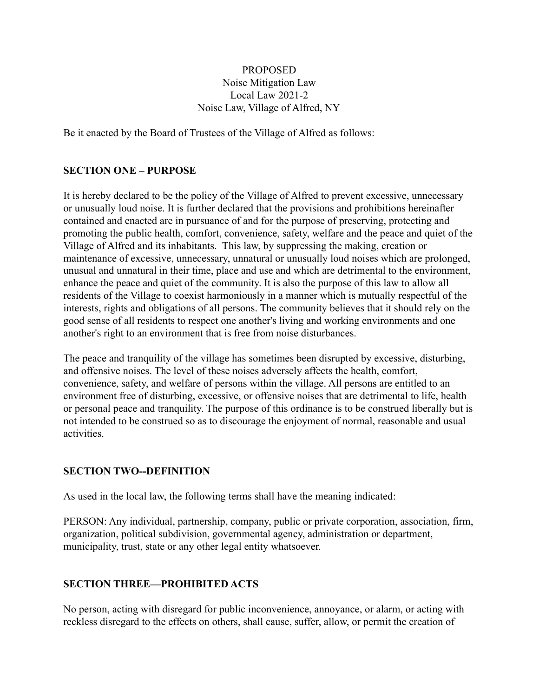#### PROPOSED Noise Mitigation Law Local Law 2021-2 Noise Law, Village of Alfred, NY

Be it enacted by the Board of Trustees of the Village of Alfred as follows:

### **SECTION ONE – PURPOSE**

It is hereby declared to be the policy of the Village of Alfred to prevent excessive, unnecessary or unusually loud noise. It is further declared that the provisions and prohibitions hereinafter contained and enacted are in pursuance of and for the purpose of preserving, protecting and promoting the public health, comfort, convenience, safety, welfare and the peace and quiet of the Village of Alfred and its inhabitants. This law, by suppressing the making, creation or maintenance of excessive, unnecessary, unnatural or unusually loud noises which are prolonged, unusual and unnatural in their time, place and use and which are detrimental to the environment, enhance the peace and quiet of the community. It is also the purpose of this law to allow all residents of the Village to coexist harmoniously in a manner which is mutually respectful of the interests, rights and obligations of all persons. The community believes that it should rely on the good sense of all residents to respect one another's living and working environments and one another's right to an environment that is free from noise disturbances.

The peace and tranquility of the village has sometimes been disrupted by excessive, disturbing, and offensive noises. The level of these noises adversely affects the health, comfort, convenience, safety, and welfare of persons within the village. All persons are entitled to an environment free of disturbing, excessive, or offensive noises that are detrimental to life, health or personal peace and tranquility. The purpose of this ordinance is to be construed liberally but is not intended to be construed so as to discourage the enjoyment of normal, reasonable and usual activities.

#### **SECTION TWO--DEFINITION**

As used in the local law, the following terms shall have the meaning indicated:

PERSON: Any individual, partnership, company, public or private corporation, association, firm, organization, political subdivision, governmental agency, administration or department, municipality, trust, state or any other legal entity whatsoever.

#### **SECTION THREE—PROHIBITED ACTS**

No person, acting with disregard for public inconvenience, annoyance, or alarm, or acting with reckless disregard to the effects on others, shall cause, suffer, allow, or permit the creation of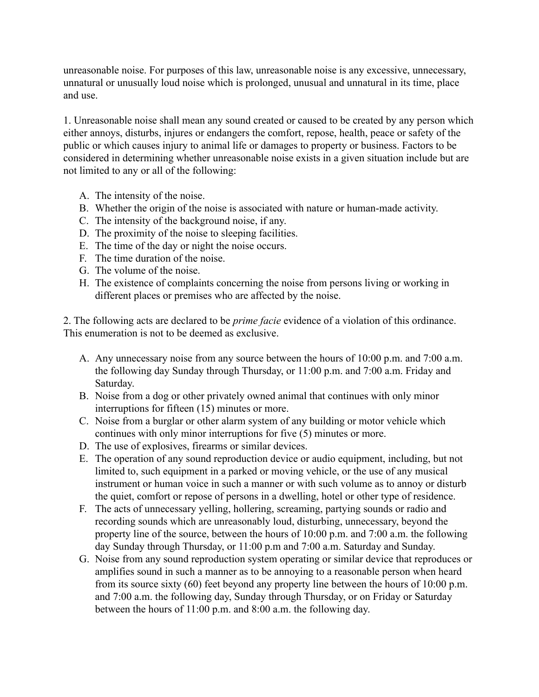unreasonable noise. For purposes of this law, unreasonable noise is any excessive, unnecessary, unnatural or unusually loud noise which is prolonged, unusual and unnatural in its time, place and use.

1. Unreasonable noise shall mean any sound created or caused to be created by any person which either annoys, disturbs, injures or endangers the comfort, repose, health, peace or safety of the public or which causes injury to animal life or damages to property or business. Factors to be considered in determining whether unreasonable noise exists in a given situation include but are not limited to any or all of the following:

- A. The intensity of the noise.
- B. Whether the origin of the noise is associated with nature or human-made activity.
- C. The intensity of the background noise, if any.
- D. The proximity of the noise to sleeping facilities.
- E. The time of the day or night the noise occurs.
- F. The time duration of the noise.
- G. The volume of the noise.
- H. The existence of complaints concerning the noise from persons living or working in different places or premises who are affected by the noise.

2. The following acts are declared to be *prime facie* evidence of a violation of this ordinance. This enumeration is not to be deemed as exclusive.

- A. Any unnecessary noise from any source between the hours of 10:00 p.m. and 7:00 a.m. the following day Sunday through Thursday, or 11:00 p.m. and 7:00 a.m. Friday and Saturday.
- B. Noise from a dog or other privately owned animal that continues with only minor interruptions for fifteen (15) minutes or more.
- C. Noise from a burglar or other alarm system of any building or motor vehicle which continues with only minor interruptions for five (5) minutes or more.
- D. The use of explosives, firearms or similar devices.
- E. The operation of any sound reproduction device or audio equipment, including, but not limited to, such equipment in a parked or moving vehicle, or the use of any musical instrument or human voice in such a manner or with such volume as to annoy or disturb the quiet, comfort or repose of persons in a dwelling, hotel or other type of residence.
- F. The acts of unnecessary yelling, hollering, screaming, partying sounds or radio and recording sounds which are unreasonably loud, disturbing, unnecessary, beyond the property line of the source, between the hours of 10:00 p.m. and 7:00 a.m. the following day Sunday through Thursday, or 11:00 p.m and 7:00 a.m. Saturday and Sunday.
- G. Noise from any sound reproduction system operating or similar device that reproduces or amplifies sound in such a manner as to be annoying to a reasonable person when heard from its source sixty (60) feet beyond any property line between the hours of 10:00 p.m. and 7:00 a.m. the following day, Sunday through Thursday, or on Friday or Saturday between the hours of 11:00 p.m. and 8:00 a.m. the following day.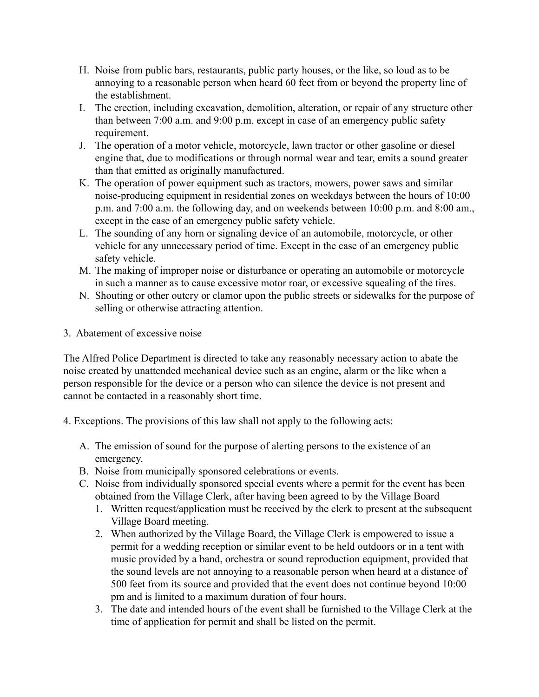- H. Noise from public bars, restaurants, public party houses, or the like, so loud as to be annoying to a reasonable person when heard 60 feet from or beyond the property line of the establishment.
- I. The erection, including excavation, demolition, alteration, or repair of any structure other than between 7:00 a.m. and 9:00 p.m. except in case of an emergency public safety requirement.
- J. The operation of a motor vehicle, motorcycle, lawn tractor or other gasoline or diesel engine that, due to modifications or through normal wear and tear, emits a sound greater than that emitted as originally manufactured.
- K. The operation of power equipment such as tractors, mowers, power saws and similar noise-producing equipment in residential zones on weekdays between the hours of 10:00 p.m. and 7:00 a.m. the following day, and on weekends between 10:00 p.m. and 8:00 am., except in the case of an emergency public safety vehicle.
- L. The sounding of any horn or signaling device of an automobile, motorcycle, or other vehicle for any unnecessary period of time. Except in the case of an emergency public safety vehicle.
- M. The making of improper noise or disturbance or operating an automobile or motorcycle in such a manner as to cause excessive motor roar, or excessive squealing of the tires.
- N. Shouting or other outcry or clamor upon the public streets or sidewalks for the purpose of selling or otherwise attracting attention.
- 3. Abatement of excessive noise

The Alfred Police Department is directed to take any reasonably necessary action to abate the noise created by unattended mechanical device such as an engine, alarm or the like when a person responsible for the device or a person who can silence the device is not present and cannot be contacted in a reasonably short time.

- 4. Exceptions. The provisions of this law shall not apply to the following acts:
	- A. The emission of sound for the purpose of alerting persons to the existence of an emergency.
	- B. Noise from municipally sponsored celebrations or events.
	- C. Noise from individually sponsored special events where a permit for the event has been obtained from the Village Clerk, after having been agreed to by the Village Board
		- 1. Written request/application must be received by the clerk to present at the subsequent Village Board meeting.
		- 2. When authorized by the Village Board, the Village Clerk is empowered to issue a permit for a wedding reception or similar event to be held outdoors or in a tent with music provided by a band, orchestra or sound reproduction equipment, provided that the sound levels are not annoying to a reasonable person when heard at a distance of 500 feet from its source and provided that the event does not continue beyond 10:00 pm and is limited to a maximum duration of four hours.
		- 3. The date and intended hours of the event shall be furnished to the Village Clerk at the time of application for permit and shall be listed on the permit.